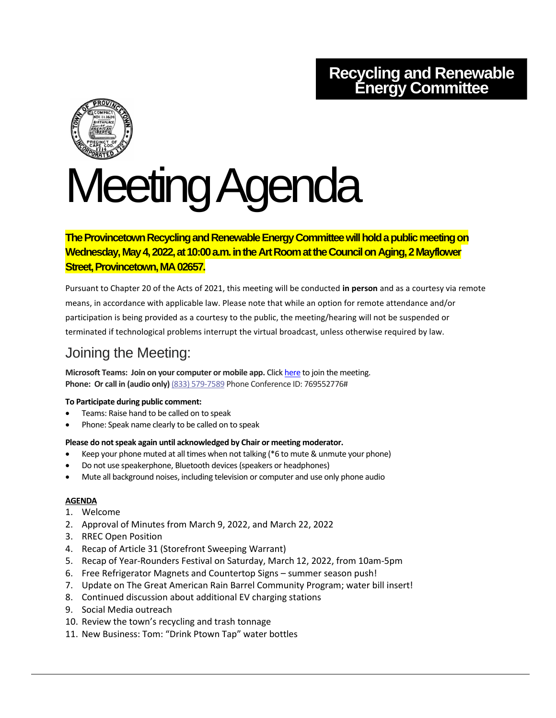# **Recycling and Renewable Energy Committee**



# Meeting Agenda

**The Provincetown Recycling and Renewable Energy Committee will hold a public meeting on Wednesday, May 4, 2022, at 10:00 a.m. in the Art Roomat theCouncil on Aging, 2 Mayflower Street, Provincetown, MA 02657.**

Pursuant to Chapter 20 of the Acts of 2021, this meeting will be conducted **in person** and as a courtesy via remote means, in accordance with applicable law. Please note that while an option for remote attendance and/or participation is being provided as a courtesy to the public, the meeting/hearing will not be suspended or terminated if technological problems interrupt the virtual broadcast, unless otherwise required by law.

## Joining the Meeting:

**Microsoft Teams: Join on your computer or mobile app.** Click [here](https://teams.microsoft.com/l/meetup-join/19%3ameeting_ZTVkODM0ZDYtZjliNS00N2VmLWE1NTEtZGY3M2JkMWJkZmUz%40thread.v2/0?context=%7b%22Tid%22%3a%2230f187df-7305-4983-9525-e34ebdedad6e%22%2c%22Oid%22%3a%2278a7c3c6-3b77-467f-bdd3-164f25fa393a%22%7d) to join the meeting. **Phone: Or call in (audio only)** (833) 579-7589 Phone Conference ID: 769552776#

#### **To Participate during public comment:**

- Teams: Raise hand to be called on to speak
- Phone: Speak name clearly to be called on to speak

#### **Please do not speak again until acknowledged by Chair or meeting moderator.**

- Keep your phone muted at all times when not talking (\*6 to mute & unmute your phone)
- Do not use speakerphone, Bluetooth devices (speakers or headphones)
- Mute all background noises, including television or computer and use only phone audio

### **AGENDA**

- 1. Welcome
- 2. Approval of Minutes from March 9, 2022, and March 22, 2022
- 3. RREC Open Position
- 4. Recap of Article 31 (Storefront Sweeping Warrant)
- 5. Recap of Year-Rounders Festival on Saturday, March 12, 2022, from 10am-5pm
- 6. Free Refrigerator Magnets and Countertop Signs summer season push!
- 7. Update on The Great American Rain Barrel Community Program; water bill insert!
- 8. Continued discussion about additional EV charging stations
- 9. Social Media outreach
- 10. Review the town's recycling and trash tonnage
- 11. New Business: Tom: "Drink Ptown Tap" water bottles